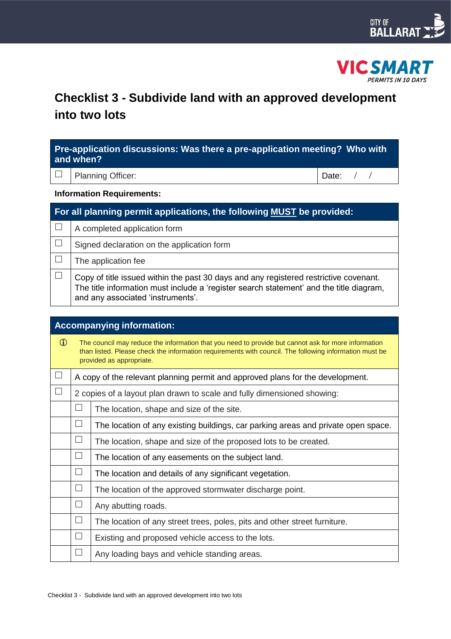



# **Checklist 3 - Subdivide land with an approved development into two lots**

| Pre-application discussions: Was there a pre-application meeting? Who with<br>and when? |                                                                                                                                                                                                                       |           |  |  |
|-----------------------------------------------------------------------------------------|-----------------------------------------------------------------------------------------------------------------------------------------------------------------------------------------------------------------------|-----------|--|--|
|                                                                                         | <b>Planning Officer:</b>                                                                                                                                                                                              | Date: $/$ |  |  |
| <b>Information Requirements:</b>                                                        |                                                                                                                                                                                                                       |           |  |  |
| For all planning permit applications, the following MUST be provided:                   |                                                                                                                                                                                                                       |           |  |  |
| $\mathbf{L}$                                                                            | A completed application form                                                                                                                                                                                          |           |  |  |
|                                                                                         | Signed declaration on the application form                                                                                                                                                                            |           |  |  |
| $\Box$                                                                                  | The application fee                                                                                                                                                                                                   |           |  |  |
| $\Box$                                                                                  | Copy of title issued within the past 30 days and any registered restrictive covenant.<br>The title information must include a 'register search statement' and the title diagram,<br>and any associated 'instruments'. |           |  |  |

| <b>Accompanying information:</b> |                                                                                                                                                                                                                                           |                                                                                   |  |  |
|----------------------------------|-------------------------------------------------------------------------------------------------------------------------------------------------------------------------------------------------------------------------------------------|-----------------------------------------------------------------------------------|--|--|
| $\bigcirc$                       | The council may reduce the information that you need to provide but cannot ask for more information<br>than listed. Please check the information requirements with council. The following information must be<br>provided as appropriate. |                                                                                   |  |  |
| $\Box$                           |                                                                                                                                                                                                                                           | A copy of the relevant planning permit and approved plans for the development.    |  |  |
| $\Box$                           |                                                                                                                                                                                                                                           | 2 copies of a layout plan drawn to scale and fully dimensioned showing:           |  |  |
|                                  | ப                                                                                                                                                                                                                                         | The location, shape and size of the site.                                         |  |  |
|                                  | $\mathcal{A}$                                                                                                                                                                                                                             | The location of any existing buildings, car parking areas and private open space. |  |  |
|                                  | $\Box$                                                                                                                                                                                                                                    | The location, shape and size of the proposed lots to be created.                  |  |  |
|                                  | $\overline{\phantom{0}}$                                                                                                                                                                                                                  | The location of any easements on the subject land.                                |  |  |
|                                  | $\Box$                                                                                                                                                                                                                                    | The location and details of any significant vegetation.                           |  |  |
|                                  | $\Box$                                                                                                                                                                                                                                    | The location of the approved stormwater discharge point.                          |  |  |
|                                  | $\Box$                                                                                                                                                                                                                                    | Any abutting roads.                                                               |  |  |
|                                  | $\Box$                                                                                                                                                                                                                                    | The location of any street trees, poles, pits and other street furniture.         |  |  |
|                                  | ┓                                                                                                                                                                                                                                         | Existing and proposed vehicle access to the lots.                                 |  |  |
|                                  |                                                                                                                                                                                                                                           | Any loading bays and vehicle standing areas.                                      |  |  |